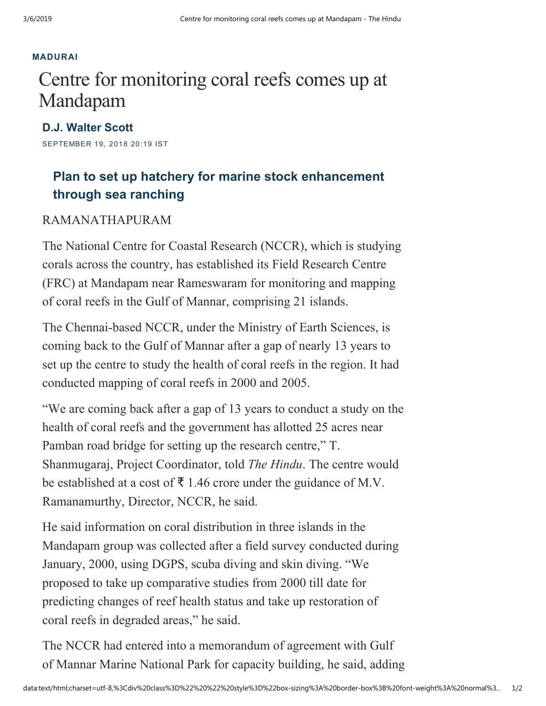## [MADURAI](https://www.thehindu.com/news/cities/Madurai/)

## Centre for monitoring coral reefs comes up at Mandapam

SEPTEMBER 19, 2018 20:19 IST D.J. [Walter](https://www.thehindu.com/profile/author/D.J.-Walter-Scott-1021/) Scott

## Plan to set up hatchery for marine stock enhancement through sea ranching

## RAMANATHAPURAM

The National Centre for Coastal Research (NCCR), which is studying corals across the country, has established its Field Research Centre (FRC) at Mandapam near Rameswaram for monitoring and mapping of coral reefs in the Gulf of Mannar, comprising 21 islands.

The Chennai-based NCCR, under the Ministry of Earth Sciences, is coming back to the Gulf of Mannar after a gap of nearly 13 years to set up the centre to study the health of coral reefs in the region. It had conducted mapping of coral reefs in 2000 and 2005.

"We are coming back after a gap of 13 years to conduct a study on the health of coral reefs and the government has allotted 25 acres near Pamban road bridge for setting up the research centre," T. Shanmugaraj, Project Coordinator, told The Hindu. The centre would be established at a cost of  $\bar{\tau}$  1.46 crore under the guidance of M.V. Ramanamurthy, Director, NCCR, he said.

He said information on coral distribution in three islands in the Mandapam group was collected after a field survey conducted during January, 2000, using DGPS, scuba diving and skin diving. "We proposed to take up comparative studies from 2000 till date for predicting changes of reef health status and take up restoration of coral reefs in degraded areas," he said.

The NCCR had entered into a memorandum of agreement with Gulf of Mannar Marine National Park for capacity building, he said, adding